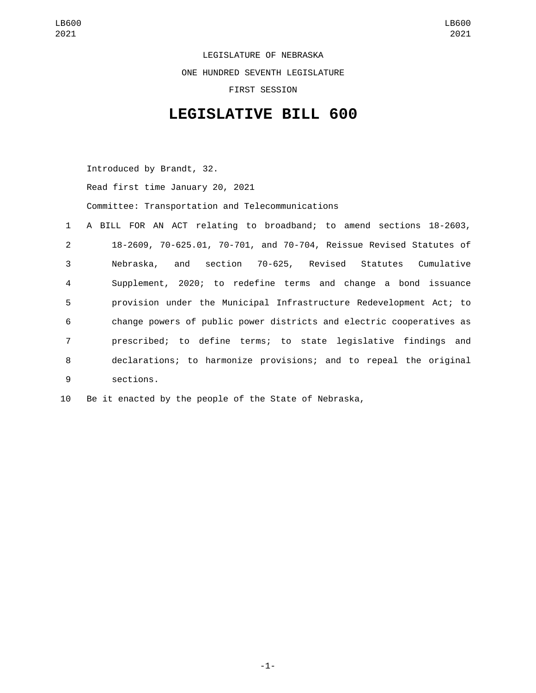LEGISLATURE OF NEBRASKA ONE HUNDRED SEVENTH LEGISLATURE FIRST SESSION

## **LEGISLATIVE BILL 600**

Introduced by Brandt, 32.

Read first time January 20, 2021

Committee: Transportation and Telecommunications

|                 | 1 A BILL FOR AN ACT relating to broadband; to amend sections 18-2603, |
|-----------------|-----------------------------------------------------------------------|
| $2^{\circ}$     | 18-2609, 70-625.01, 70-701, and 70-704, Reissue Revised Statutes of   |
| 3               | and section 70-625, Revised Statutes Cumulative<br>Nebraska,          |
| $\overline{4}$  | Supplement, 2020; to redefine terms and change a bond issuance        |
| 5               | provision under the Municipal Infrastructure Redevelopment Act; to    |
| 6               | change powers of public power districts and electric cooperatives as  |
| $7\overline{ }$ | prescribed; to define terms; to state legislative findings and        |
| 8               | declarations; to harmonize provisions; and to repeal the original     |
| 9               | sections.                                                             |

10 Be it enacted by the people of the State of Nebraska,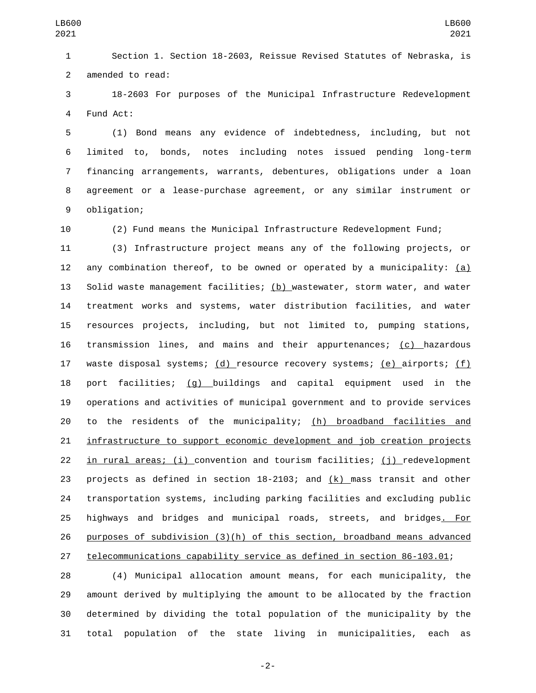Section 1. Section 18-2603, Reissue Revised Statutes of Nebraska, is 2 amended to read:

 18-2603 For purposes of the Municipal Infrastructure Redevelopment 4 Fund Act:

 (1) Bond means any evidence of indebtedness, including, but not limited to, bonds, notes including notes issued pending long-term financing arrangements, warrants, debentures, obligations under a loan agreement or a lease-purchase agreement, or any similar instrument or 9 obligation;

(2) Fund means the Municipal Infrastructure Redevelopment Fund;

 (3) Infrastructure project means any of the following projects, or any combination thereof, to be owned or operated by a municipality: (a) Solid waste management facilities; (b) wastewater, storm water, and water treatment works and systems, water distribution facilities, and water resources projects, including, but not limited to, pumping stations, transmission lines, and mains and their appurtenances; (c) hazardous waste disposal systems; (d) resource recovery systems; (e) airports; (f) port facilities; (g) buildings and capital equipment used in the operations and activities of municipal government and to provide services to the residents of the municipality; (h) broadband facilities and infrastructure to support economic development and job creation projects in rural areas; (i) convention and tourism facilities; (j) redevelopment projects as defined in section 18-2103; and (k) mass transit and other transportation systems, including parking facilities and excluding public highways and bridges and municipal roads, streets, and bridges. For purposes of subdivision (3)(h) of this section, broadband means advanced telecommunications capability service as defined in section 86-103.01;

 (4) Municipal allocation amount means, for each municipality, the amount derived by multiplying the amount to be allocated by the fraction determined by dividing the total population of the municipality by the total population of the state living in municipalities, each as

-2-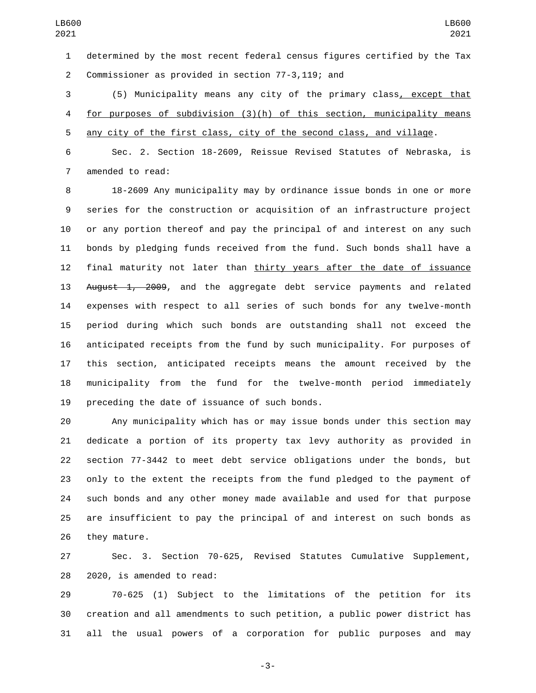determined by the most recent federal census figures certified by the Tax 2 Commissioner as provided in section 77-3,119; and

 (5) Municipality means any city of the primary class, except that for purposes of subdivision (3)(h) of this section, municipality means any city of the first class, city of the second class, and village.

 Sec. 2. Section 18-2609, Reissue Revised Statutes of Nebraska, is 7 amended to read:

 18-2609 Any municipality may by ordinance issue bonds in one or more series for the construction or acquisition of an infrastructure project or any portion thereof and pay the principal of and interest on any such bonds by pledging funds received from the fund. Such bonds shall have a final maturity not later than thirty years after the date of issuance 13 August 1, 2009, and the aggregate debt service payments and related expenses with respect to all series of such bonds for any twelve-month period during which such bonds are outstanding shall not exceed the anticipated receipts from the fund by such municipality. For purposes of this section, anticipated receipts means the amount received by the municipality from the fund for the twelve-month period immediately 19 preceding the date of issuance of such bonds.

 Any municipality which has or may issue bonds under this section may dedicate a portion of its property tax levy authority as provided in section 77-3442 to meet debt service obligations under the bonds, but only to the extent the receipts from the fund pledged to the payment of such bonds and any other money made available and used for that purpose are insufficient to pay the principal of and interest on such bonds as 26 they mature.

 Sec. 3. Section 70-625, Revised Statutes Cumulative Supplement, 28 2020, is amended to read:

 70-625 (1) Subject to the limitations of the petition for its creation and all amendments to such petition, a public power district has all the usual powers of a corporation for public purposes and may

-3-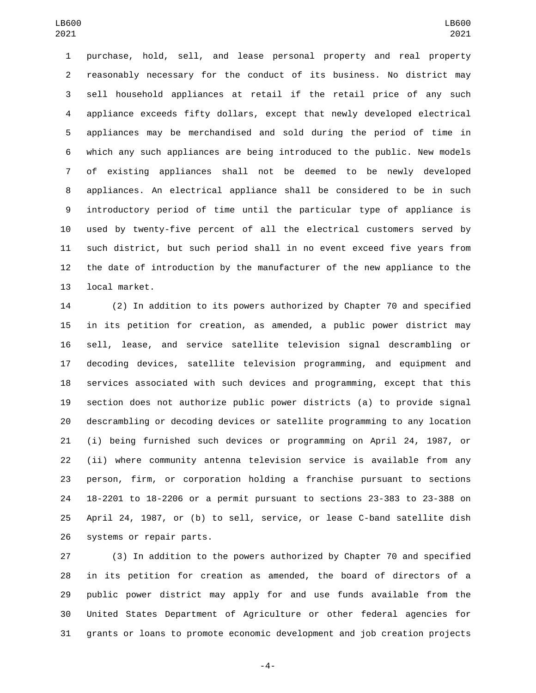purchase, hold, sell, and lease personal property and real property reasonably necessary for the conduct of its business. No district may sell household appliances at retail if the retail price of any such appliance exceeds fifty dollars, except that newly developed electrical appliances may be merchandised and sold during the period of time in which any such appliances are being introduced to the public. New models of existing appliances shall not be deemed to be newly developed appliances. An electrical appliance shall be considered to be in such introductory period of time until the particular type of appliance is used by twenty-five percent of all the electrical customers served by such district, but such period shall in no event exceed five years from the date of introduction by the manufacturer of the new appliance to the 13 local market.

 (2) In addition to its powers authorized by Chapter 70 and specified in its petition for creation, as amended, a public power district may sell, lease, and service satellite television signal descrambling or decoding devices, satellite television programming, and equipment and services associated with such devices and programming, except that this section does not authorize public power districts (a) to provide signal descrambling or decoding devices or satellite programming to any location (i) being furnished such devices or programming on April 24, 1987, or (ii) where community antenna television service is available from any person, firm, or corporation holding a franchise pursuant to sections 18-2201 to 18-2206 or a permit pursuant to sections 23-383 to 23-388 on April 24, 1987, or (b) to sell, service, or lease C-band satellite dish 26 systems or repair parts.

 (3) In addition to the powers authorized by Chapter 70 and specified in its petition for creation as amended, the board of directors of a public power district may apply for and use funds available from the United States Department of Agriculture or other federal agencies for grants or loans to promote economic development and job creation projects

-4-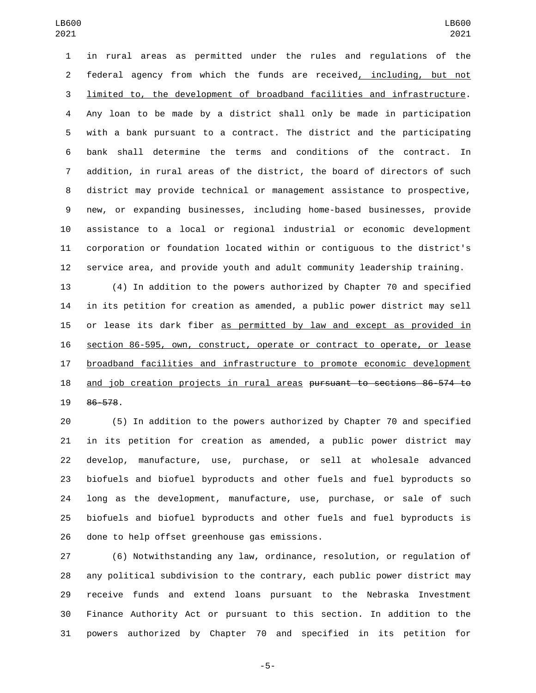in rural areas as permitted under the rules and regulations of the federal agency from which the funds are received, including, but not limited to, the development of broadband facilities and infrastructure. Any loan to be made by a district shall only be made in participation with a bank pursuant to a contract. The district and the participating bank shall determine the terms and conditions of the contract. In addition, in rural areas of the district, the board of directors of such district may provide technical or management assistance to prospective, new, or expanding businesses, including home-based businesses, provide assistance to a local or regional industrial or economic development corporation or foundation located within or contiguous to the district's service area, and provide youth and adult community leadership training.

 (4) In addition to the powers authorized by Chapter 70 and specified in its petition for creation as amended, a public power district may sell or lease its dark fiber as permitted by law and except as provided in section 86-595, own, construct, operate or contract to operate, or lease 17 broadband facilities and infrastructure to promote economic development and job creation projects in rural areas pursuant to sections 86-574 to 19 86-578.

 (5) In addition to the powers authorized by Chapter 70 and specified in its petition for creation as amended, a public power district may develop, manufacture, use, purchase, or sell at wholesale advanced biofuels and biofuel byproducts and other fuels and fuel byproducts so long as the development, manufacture, use, purchase, or sale of such biofuels and biofuel byproducts and other fuels and fuel byproducts is 26 done to help offset greenhouse gas emissions.

 (6) Notwithstanding any law, ordinance, resolution, or regulation of any political subdivision to the contrary, each public power district may receive funds and extend loans pursuant to the Nebraska Investment Finance Authority Act or pursuant to this section. In addition to the powers authorized by Chapter 70 and specified in its petition for

-5-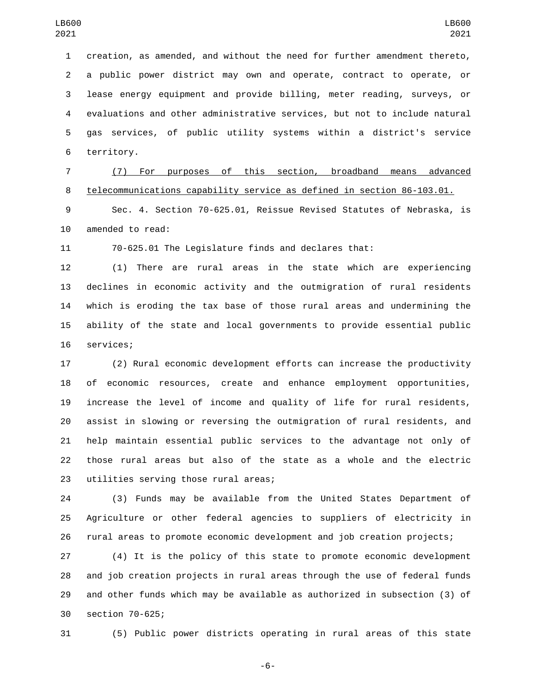creation, as amended, and without the need for further amendment thereto, a public power district may own and operate, contract to operate, or lease energy equipment and provide billing, meter reading, surveys, or evaluations and other administrative services, but not to include natural gas services, of public utility systems within a district's service 6 territory.

 (7) For purposes of this section, broadband means advanced telecommunications capability service as defined in section 86-103.01.

 Sec. 4. Section 70-625.01, Reissue Revised Statutes of Nebraska, is 10 amended to read:

70-625.01 The Legislature finds and declares that:

 (1) There are rural areas in the state which are experiencing declines in economic activity and the outmigration of rural residents which is eroding the tax base of those rural areas and undermining the ability of the state and local governments to provide essential public 16 services;

 (2) Rural economic development efforts can increase the productivity of economic resources, create and enhance employment opportunities, increase the level of income and quality of life for rural residents, assist in slowing or reversing the outmigration of rural residents, and help maintain essential public services to the advantage not only of those rural areas but also of the state as a whole and the electric 23 utilities serving those rural areas;

 (3) Funds may be available from the United States Department of Agriculture or other federal agencies to suppliers of electricity in rural areas to promote economic development and job creation projects;

 (4) It is the policy of this state to promote economic development and job creation projects in rural areas through the use of federal funds and other funds which may be available as authorized in subsection (3) of 30 section 70-625;

(5) Public power districts operating in rural areas of this state

-6-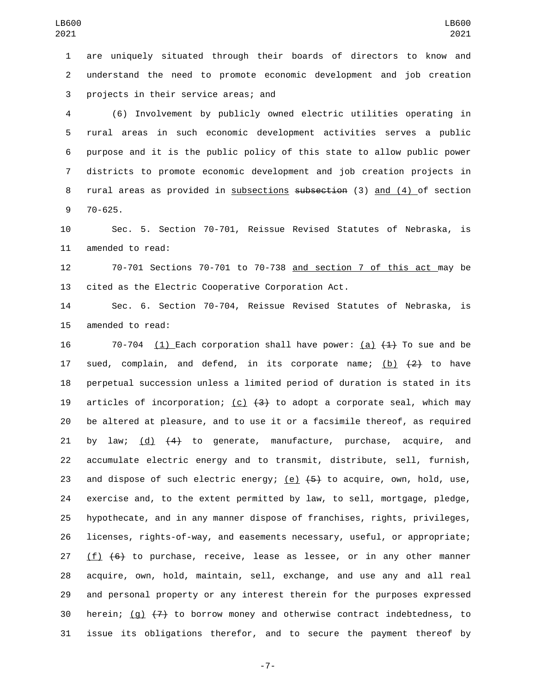are uniquely situated through their boards of directors to know and understand the need to promote economic development and job creation 3 projects in their service areas; and

 (6) Involvement by publicly owned electric utilities operating in rural areas in such economic development activities serves a public purpose and it is the public policy of this state to allow public power districts to promote economic development and job creation projects in rural areas as provided in subsections subsection (3) and (4) of section 9 70-625.

 Sec. 5. Section 70-701, Reissue Revised Statutes of Nebraska, is 11 amended to read:

 70-701 Sections 70-701 to 70-738 and section 7 of this act may be cited as the Electric Cooperative Corporation Act.

 Sec. 6. Section 70-704, Reissue Revised Statutes of Nebraska, is 15 amended to read:

16 70-704 (1) Each corporation shall have power: (a)  $\{4\}$  To sue and be 17 sued, complain, and defend, in its corporate name;  $(b)$   $(2)$  to have perpetual succession unless a limited period of duration is stated in its 19 articles of incorporation; (c)  $(3)$  to adopt a corporate seal, which may be altered at pleasure, and to use it or a facsimile thereof, as required 21 by law;  $(d)$   $(4)$  to generate, manufacture, purchase, acquire, and accumulate electric energy and to transmit, distribute, sell, furnish, 23 and dispose of such electric energy;  $(e)$   $(5)$  to acquire, own, hold, use, exercise and, to the extent permitted by law, to sell, mortgage, pledge, hypothecate, and in any manner dispose of franchises, rights, privileges, licenses, rights-of-way, and easements necessary, useful, or appropriate; 27 (f)  $(6)$  to purchase, receive, lease as lessee, or in any other manner acquire, own, hold, maintain, sell, exchange, and use any and all real and personal property or any interest therein for the purposes expressed 30 herein; (g)  $\{7\}$  to borrow money and otherwise contract indebtedness, to issue its obligations therefor, and to secure the payment thereof by

-7-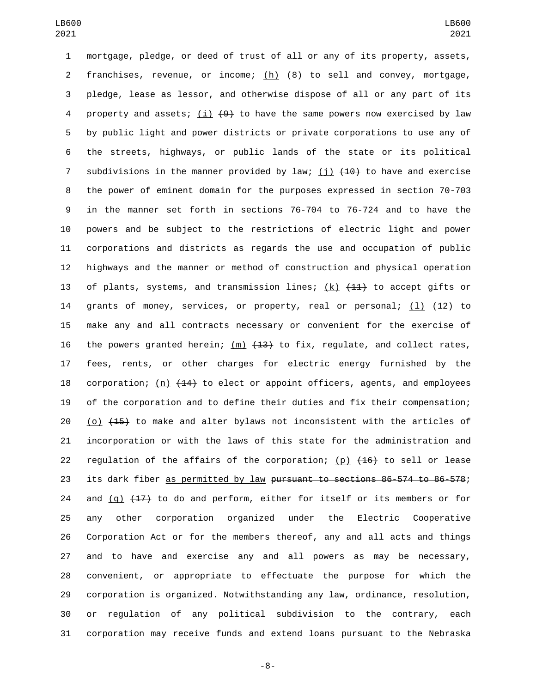mortgage, pledge, or deed of trust of all or any of its property, assets, 2 franchises, revenue, or income; (h)  $\{8\}$  to sell and convey, mortgage, pledge, lease as lessor, and otherwise dispose of all or any part of its 4 property and assets; (i)  $(9)$  to have the same powers now exercised by law by public light and power districts or private corporations to use any of the streets, highways, or public lands of the state or its political 7 subdivisions in the manner provided by law; (j)  $(10+10)$  to have and exercise the power of eminent domain for the purposes expressed in section 70-703 in the manner set forth in sections 76-704 to 76-724 and to have the powers and be subject to the restrictions of electric light and power corporations and districts as regards the use and occupation of public highways and the manner or method of construction and physical operation 13 of plants, systems, and transmission lines;  $(k)$   $(41)$  to accept gifts or 14 grants of money, services, or property, real or personal;  $(1)$   $(12)$  to make any and all contracts necessary or convenient for the exercise of 16 the powers granted herein;  $(m)$   $(13)$  to fix, regulate, and collect rates, fees, rents, or other charges for electric energy furnished by the 18 corporation; (n)  $(14)$  to elect or appoint officers, agents, and employees of the corporation and to define their duties and fix their compensation; 20 (o)  $(15)$  to make and alter bylaws not inconsistent with the articles of incorporation or with the laws of this state for the administration and 22 regulation of the affairs of the corporation; (p)  $(16)$  to sell or lease 23 its dark fiber as permitted by law pursuant to sections 86-574 to 86-578; 24 and  $(q)$   $(17)$  to do and perform, either for itself or its members or for any other corporation organized under the Electric Cooperative Corporation Act or for the members thereof, any and all acts and things and to have and exercise any and all powers as may be necessary, convenient, or appropriate to effectuate the purpose for which the corporation is organized. Notwithstanding any law, ordinance, resolution, or regulation of any political subdivision to the contrary, each corporation may receive funds and extend loans pursuant to the Nebraska

-8-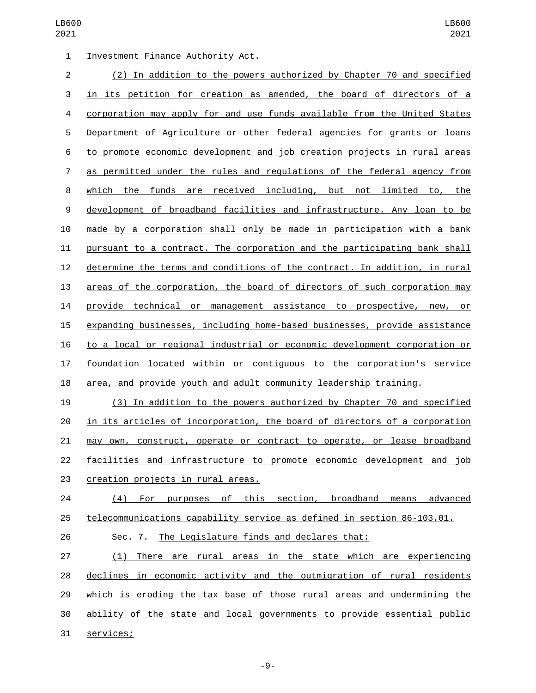1 Investment Finance Authority Act. (2) In addition to the powers authorized by Chapter 70 and specified in its petition for creation as amended, the board of directors of a corporation may apply for and use funds available from the United States Department of Agriculture or other federal agencies for grants or loans to promote economic development and job creation projects in rural areas as permitted under the rules and regulations of the federal agency from which the funds are received including, but not limited to, the development of broadband facilities and infrastructure. Any loan to be made by a corporation shall only be made in participation with a bank pursuant to a contract. The corporation and the participating bank shall determine the terms and conditions of the contract. In addition, in rural areas of the corporation, the board of directors of such corporation may provide technical or management assistance to prospective, new, or expanding businesses, including home-based businesses, provide assistance to a local or regional industrial or economic development corporation or foundation located within or contiguous to the corporation's service area, and provide youth and adult community leadership training.

 (3) In addition to the powers authorized by Chapter 70 and specified in its articles of incorporation, the board of directors of a corporation may own, construct, operate or contract to operate, or lease broadband facilities and infrastructure to promote economic development and job 23 creation projects in rural areas.

 (4) For purposes of this section, broadband means advanced telecommunications capability service as defined in section 86-103.01.

Sec. 7. The Legislature finds and declares that:

 (1) There are rural areas in the state which are experiencing declines in economic activity and the outmigration of rural residents which is eroding the tax base of those rural areas and undermining the ability of the state and local governments to provide essential public 31 services;